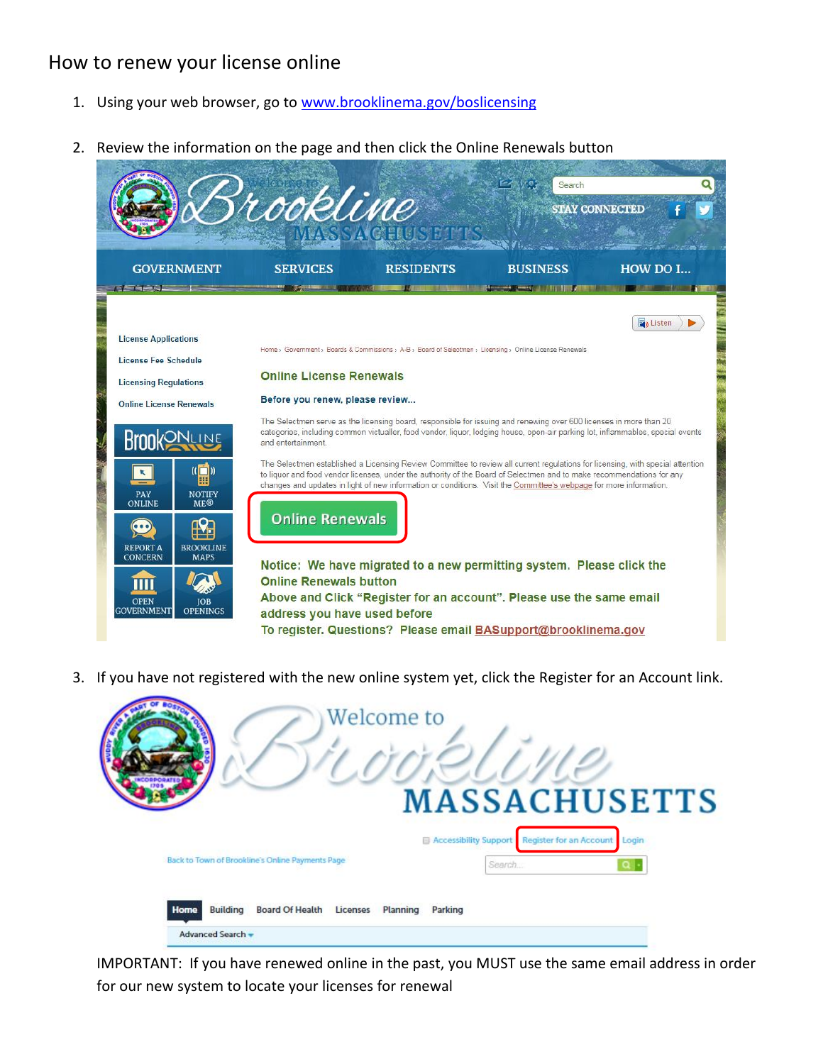# How to renew your license online

- 1. Using your web browser, go to [www.brooklinema.gov/boslicensing](http://www.brooklinema.gov/boslicensing)
- 2. Review the information on the page and then click the Online Renewals button

|                                                                                                                                                                                                                                                                                                                                    | rrookline                                                                                                                                                                          |                                                                                                                                                                                                                                                                                                                                                                                                                                                                                                                                                                                                                                                                                                                                                                                                                                                                                                                                                                        | Search          | <b>STAY CONNECTED</b> |
|------------------------------------------------------------------------------------------------------------------------------------------------------------------------------------------------------------------------------------------------------------------------------------------------------------------------------------|------------------------------------------------------------------------------------------------------------------------------------------------------------------------------------|------------------------------------------------------------------------------------------------------------------------------------------------------------------------------------------------------------------------------------------------------------------------------------------------------------------------------------------------------------------------------------------------------------------------------------------------------------------------------------------------------------------------------------------------------------------------------------------------------------------------------------------------------------------------------------------------------------------------------------------------------------------------------------------------------------------------------------------------------------------------------------------------------------------------------------------------------------------------|-----------------|-----------------------|
| <b>GOVERNMENT</b><br><b><i><u>Change</u></i></b>                                                                                                                                                                                                                                                                                   | <b>SERVICES</b>                                                                                                                                                                    | <b>RESIDENTS</b>                                                                                                                                                                                                                                                                                                                                                                                                                                                                                                                                                                                                                                                                                                                                                                                                                                                                                                                                                       | <b>BUSINESS</b> | HOW DO L.             |
| <b>License Applications</b><br>License Fee Schedule<br><b>Licensing Regulations</b><br><b>Online License Renewals</b><br>Krnn<br>([])<br>PAY<br><b>NOTIFY</b><br>ONLINE<br><b>ME®</b><br><b>BROOKLINE</b><br><b>REPORT A</b><br><b>CONCERN</b><br><b>MAPS</b><br><b>OPEN</b><br><b>IOB</b><br><b>GOVERNMENT</b><br><b>OPENINGS</b> | <b>Online License Renewals</b><br>Before you renew, please review<br>and entertainment.<br><b>Online Renewals</b><br><b>Online Renewals button</b><br>address you have used before | Home > Government > Boards & Commissions > A-B > Board of Selectmen > Licensing > Online License Renewals<br>The Selectmen serve as the licensing board, responsible for issuing and renewing over 600 licenses in more than 20<br>categories, including common victualler, food vendor, liquor, lodging house, open-air parking lot, inflammables, special events<br>The Selectmen established a Licensing Review Committee to review all current regulations for licensing, with special attention<br>to liquor and food vendor licenses, under the authority of the Board of Selectmen and to make recommendations for any<br>changes and updates in light of new information or conditions. Visit the Committee's webpage for more information.<br>Notice: We have migrated to a new permitting system. Please click the<br>Above and Click "Register for an account". Please use the same email<br>To register. Questions? Please email BASupport@brooklinema.gov |                 | <b>Z</b> Listen       |

3. If you have not registered with the new online system yet, click the Register for an Account link.



IMPORTANT: If you have renewed online in the past, you MUST use the same email address in order for our new system to locate your licenses for renewal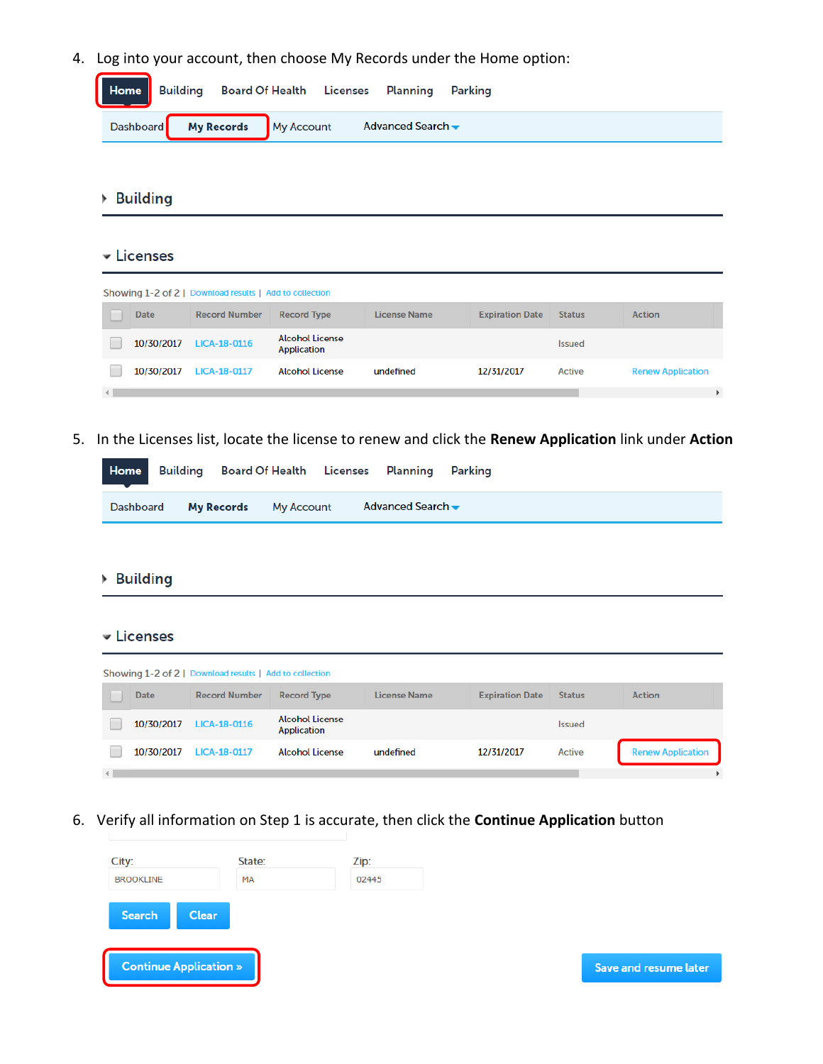4. Log into your account, then choose My Records under the Home option:

|  | Home Building Board Of Health Licenses Planning Parking |  |  |  |
|--|---------------------------------------------------------|--|--|--|
|  | Dashboard My Records My Account Advanced Search         |  |  |  |
|  |                                                         |  |  |  |

# **Building**

## **v** Licenses

|             | Showing 1-2 of 2   Download results   Add to collection |                                       |              |                        |               |                          |
|-------------|---------------------------------------------------------|---------------------------------------|--------------|------------------------|---------------|--------------------------|
| <b>Date</b> | <b>Record Number</b>                                    | <b>Record Type</b>                    | License Name | <b>Expiration Date</b> | <b>Status</b> | <b>Action</b>            |
| 10/30/2017  | LICA-18-0116                                            | <b>Alcohol License</b><br>Application |              |                        | <b>Issued</b> |                          |
| 10/30/2017  | <b>LICA-18-0117</b>                                     | <b>Alcohol License</b>                | undefined    | 12/31/2017             | Active        | <b>Renew Application</b> |
|             |                                                         |                                       |              |                        |               |                          |

5. In the Licenses list, locate the license to renew and click the **Renew Application** link under **Action**

|                                 |  | <b>Home</b> Building Board Of Health Licenses Planning Parking |  |  |
|---------------------------------|--|----------------------------------------------------------------|--|--|
| Dashboard My Records My Account |  | Advanced Search —                                              |  |  |

## ▶ Building

### **v** Licenses

|          |             | Showing 1-2 of 2   Download results   Add to collection |                                       |              |                        |               |                          |
|----------|-------------|---------------------------------------------------------|---------------------------------------|--------------|------------------------|---------------|--------------------------|
|          | <b>Date</b> | <b>Record Number</b>                                    | <b>Record Type</b>                    | License Name | <b>Expiration Date</b> | <b>Status</b> | <b>Action</b>            |
|          | 10/30/2017  | LICA-18-0116                                            | <b>Alcohol License</b><br>Application |              |                        | <b>Issued</b> |                          |
|          | 10/30/2017  | <b>LICA-18-0117</b>                                     | <b>Alcohol License</b>                | undefined    | 12/31/2017             | Active        | <b>Renew Application</b> |
| $\left($ |             |                                                         |                                       |              |                        |               |                          |

6. Verify all information on Step 1 is accurate, then click the **Continue Application** button

| City:                         | State: | Zip:  |                             |
|-------------------------------|--------|-------|-----------------------------|
| <b>BROOKLINE</b>              | MA     | 02445 |                             |
|                               |        |       |                             |
| Search<br><b>Clear</b>        |        |       |                             |
|                               |        |       |                             |
| <b>Continue Application »</b> |        |       | <b>Save and resume late</b> |
|                               |        |       |                             |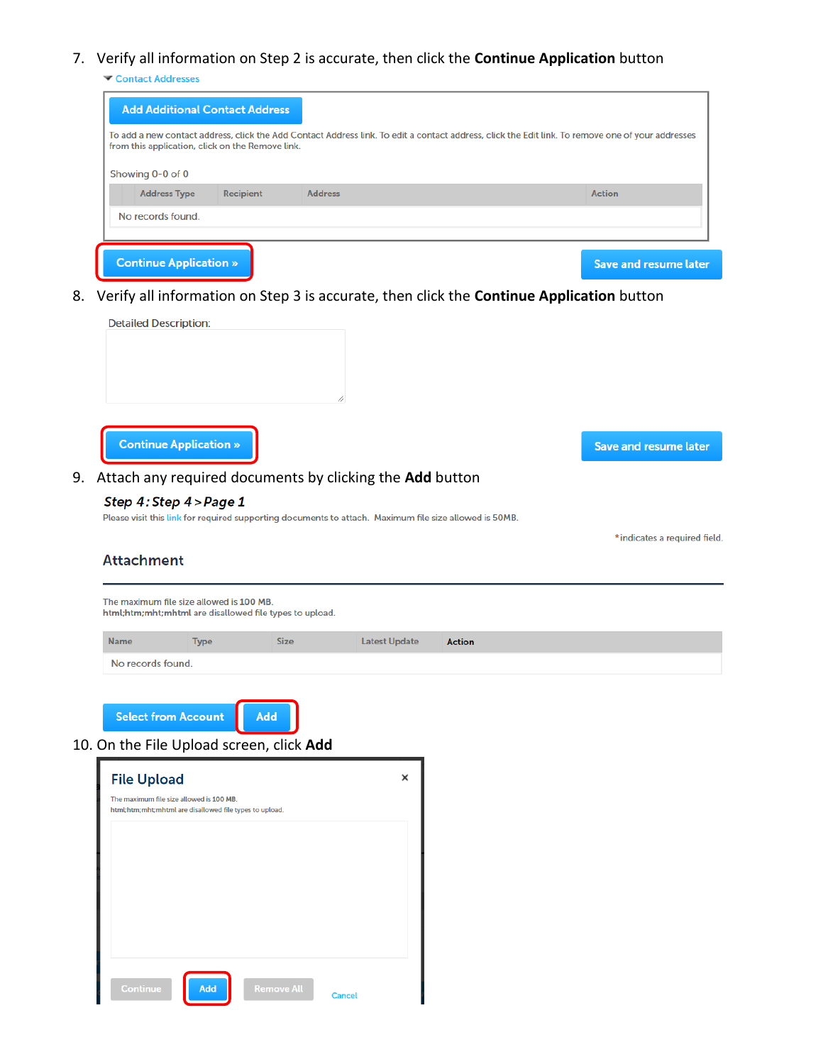### 7. Verify all information on Step 2 is accurate, then click the **Continue Application** button

Contact Addresses

| Showing 0-0 of 0                                             |                              |
|--------------------------------------------------------------|------------------------------|
| <b>Address Type</b><br><b>Address</b><br>Recipient<br>Action |                              |
| No records found.                                            |                              |
| <b>Continue Application »</b>                                | <b>Save and resume later</b> |

8. Verify all information on Step 3 is accurate, then click the **Continue Application** button



9. Attach any required documents by clicking the **Add** button

#### Step 4: Step 4 > Page 1

Please visit this link for required supporting documents to attach. Maximum file size allowed is 50MB.

\* indicates a required field.

Save and resume later

### **Attachment**

The maximum file size allowed is 100 MB. html;htm;mht;mhtml are disallowed file types to upload.

| Name              | <b>Type</b> | <b>Size</b> | Latest Update Action |  |
|-------------------|-------------|-------------|----------------------|--|
| No records found. |             |             |                      |  |

**Select from Account** Add

## 10. On the File Upload screen, click **Add**

| <b>File Upload</b>                                                                                  | × |
|-----------------------------------------------------------------------------------------------------|---|
| The maximum file size allowed is 100 MB.<br>html;htm;mht;mhtml are disallowed file types to upload. |   |
|                                                                                                     |   |
|                                                                                                     |   |
|                                                                                                     |   |
|                                                                                                     |   |
|                                                                                                     |   |
| <b>Remove All</b><br>Add<br>Continue<br><b>Cancel</b>                                               |   |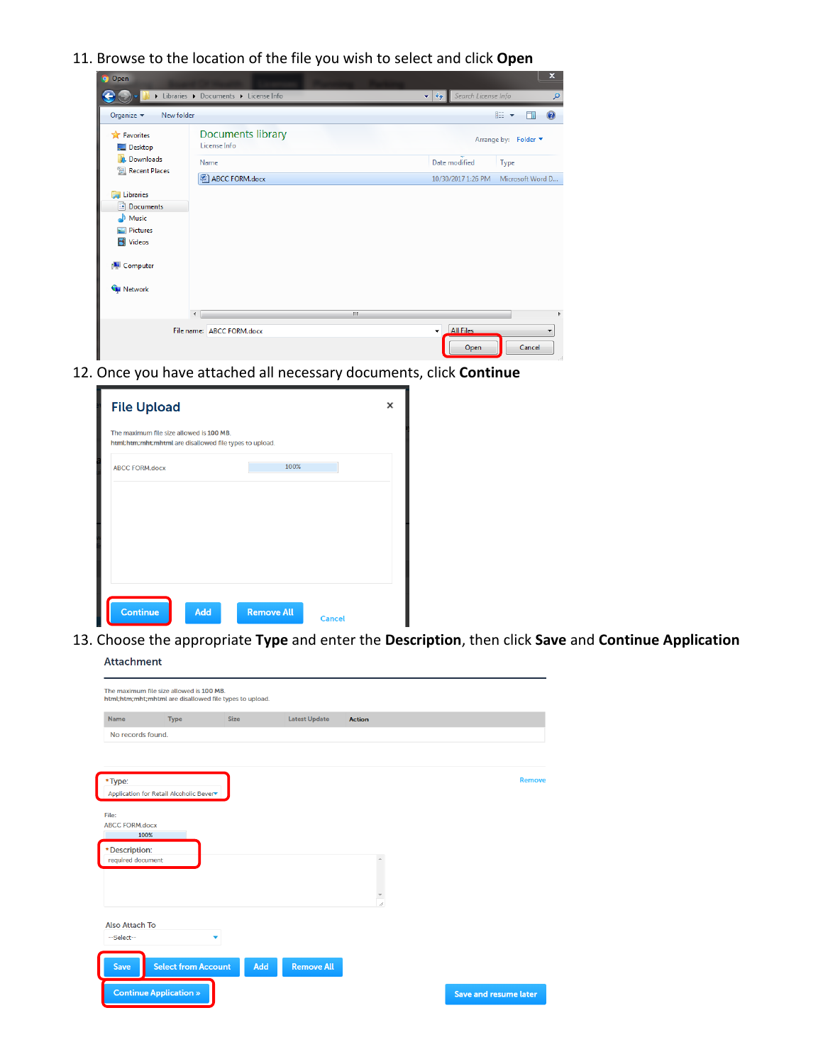11. Browse to the location of the file you wish to select and click **Open**

|                          | Libraries > Documents > License Info | Search License Info<br>$\mathbf{v}$ $\mathbf{t}$ | Q                             |
|--------------------------|--------------------------------------|--------------------------------------------------|-------------------------------|
| Organize v<br>New folder |                                      |                                                  | 888 ▼<br>$\circledcirc$<br>ĦΙ |
| Favorites<br>Desktop     | Documents library<br>License Info    |                                                  | Arrange by: Folder ▼          |
| <b>Downloads</b>         | Name                                 | Date modified                                    | Type                          |
| Recent Places            | ABCC FORM.docx                       | 10/30/2017 1:26 PM                               | Microsoft Word D              |
| Libraries<br>ă           |                                      |                                                  |                               |
| R<br><b>Documents</b>    |                                      |                                                  |                               |
| Music                    |                                      |                                                  |                               |
| Pictures                 |                                      |                                                  |                               |
| Videos                   |                                      |                                                  |                               |
| Computer                 |                                      |                                                  |                               |
| <b>Network</b>           |                                      |                                                  |                               |
|                          | m.<br>$\epsilon$                     |                                                  |                               |
|                          | File name: ABCC FORM.docx            | <b>All Files</b><br>$\bullet$                    |                               |
|                          |                                      | Open                                             | Cancel                        |

12. Once you have attached all necessary documents, click **Continue**

| <b>File Upload</b>                                                                                  |                   |               | × |
|-----------------------------------------------------------------------------------------------------|-------------------|---------------|---|
| The maximum file size allowed is 100 MB.<br>html;htm;mht;mhtml are disallowed file types to upload. |                   |               |   |
| <b>ABCC FORM.docx</b>                                                                               | 100%              |               |   |
|                                                                                                     |                   |               |   |
|                                                                                                     |                   |               |   |
|                                                                                                     |                   |               |   |
|                                                                                                     |                   |               |   |
|                                                                                                     |                   |               |   |
| <b>Continue</b><br>Add                                                                              | <b>Remove All</b> | <b>Cancel</b> |   |

13. Choose the appropriate **Type** and enter the **Description**, then click **Save** and **Continue Application**Attachment

|                                    | <b>Type</b>                             | <b>Size</b> | <b>Latest Update</b> | <b>Action</b>        |               |
|------------------------------------|-----------------------------------------|-------------|----------------------|----------------------|---------------|
| No records found.                  |                                         |             |                      |                      |               |
|                                    |                                         |             |                      |                      |               |
|                                    |                                         |             |                      |                      | <b>Remove</b> |
| *Type:                             | Application for Retail Alcoholic Bever▼ |             |                      |                      |               |
|                                    |                                         |             |                      |                      |               |
| File:                              |                                         |             |                      |                      |               |
| <b>ABCC FORM.docx</b><br>100%      |                                         |             |                      |                      |               |
|                                    |                                         |             |                      |                      |               |
| *Description:<br>required document |                                         |             |                      | $\Delta$             |               |
|                                    |                                         |             |                      |                      |               |
|                                    |                                         |             |                      |                      |               |
|                                    |                                         |             |                      |                      |               |
|                                    |                                         |             |                      | $\frac{1}{\sqrt{2}}$ |               |
| <b>Also Attach To</b>              |                                         |             |                      |                      |               |
|                                    |                                         | ▼           |                      |                      |               |
|                                    |                                         |             |                      |                      |               |
| --Select--                         |                                         |             |                      |                      |               |
|                                    |                                         |             |                      |                      |               |
| <b>Save</b>                        | <b>Select from Account</b>              | Add         | <b>Remove All</b>    |                      |               |